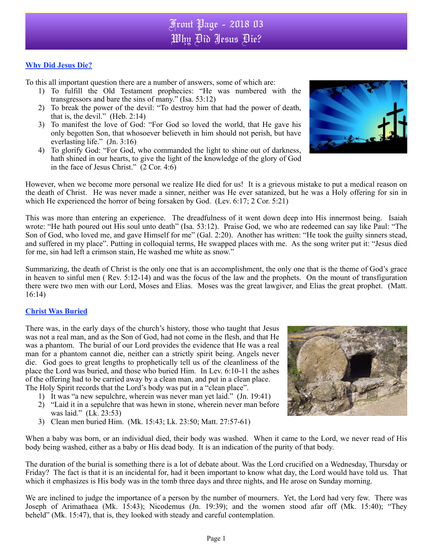## Front Page - 2018 03 Why Did Jesus Die?

## **Why Did Jesus Die?**

To this all important question there are a number of answers, some of which are:

- 1) To fulfill the Old Testament prophecies: "He was numbered with the transgressors and bare the sins of many." (Isa. 53:12)
- 2) To break the power of the devil: "To destroy him that had the power of death, that is, the devil." (Heb. 2:14)
- 3) To manifest the love of God: "For God so loved the world, that He gave his only begotten Son, that whosoever believeth in him should not perish, but have everlasting life." (Jn. 3:16)
- 4) To glorify God: "For God, who commanded the light to shine out of darkness, hath shined in our hearts, to give the light of the knowledge of the glory of God in the face of Jesus Christ." (2 Cor. 4:6)

However, when we become more personal we realize He died for us! It is a grievous mistake to put a medical reason on the death of Christ. He was never made a sinner, neither was He ever satanized, but he was a Holy offering for sin in which He experienced the horror of being forsaken by God. (Lev. 6:17; 2 Cor. 5:21)

This was more than entering an experience. The dreadfulness of it went down deep into His innermost being. Isaiah wrote: "He hath poured out His soul unto death" (Isa. 53:12). Praise God, we who are redeemed can say like Paul: "The Son of God, who loved me, and gave Himself for me" (Gal. 2:20). Another has written: "He took the guilty sinners stead, and suffered in my place". Putting in colloquial terms, He swapped places with me. As the song writer put it: "Jesus died for me, sin had left a crimson stain, He washed me white as snow."

Summarizing, the death of Christ is the only one that is an accomplishment, the only one that is the theme of God's grace in heaven to sinful men ( Rev. 5:12-14) and was the focus of the law and the prophets. On the mount of transfiguration there were two men with our Lord, Moses and Elias. Moses was the great lawgiver, and Elias the great prophet. (Matt. 16:14)

## **Christ Was Buried**

There was, in the early days of the church's history, those who taught that Jesus was not a real man, and as the Son of God, had not come in the flesh, and that He was a phantom. The burial of our Lord provides the evidence that He was a real man for a phantom cannot die, neither can a strictly spirit being. Angels never die. God goes to great lengths to prophetically tell us of the cleanliness of the place the Lord was buried, and those who buried Him. In Lev. 6:10-11 the ashes of the offering had to be carried away by a clean man, and put in a clean place. The Holy Spirit records that the Lord's body was put in a "clean place".

- 1) It was "a new sepulchre, wherein was never man yet laid." (Jn. 19:41)
- 2) "Laid it in a sepulchre that was hewn in stone, wherein never man before was laid." (Lk. 23:53)
- 3) Clean men buried Him. (Mk. 15:43; Lk. 23:50; Matt. 27:57-61)

When a baby was born, or an individual died, their body was washed. When it came to the Lord, we never read of His body being washed, either as a baby or His dead body. It is an indication of the purity of that body.

The duration of the burial is something there is a lot of debate about. Was the Lord crucified on a Wednesday, Thursday or Friday? The fact is that it is an incidental for, had it been important to know what day, the Lord would have told us. That which it emphasizes is His body was in the tomb three days and three nights, and He arose on Sunday morning.

We are inclined to judge the importance of a person by the number of mourners. Yet, the Lord had very few. There was Joseph of Arimathaea (Mk. 15:43); Nicodemus (Jn. 19:39); and the women stood afar off (Mk. 15:40); "They beheld" (Mk. 15:47), that is, they looked with steady and careful contemplation.